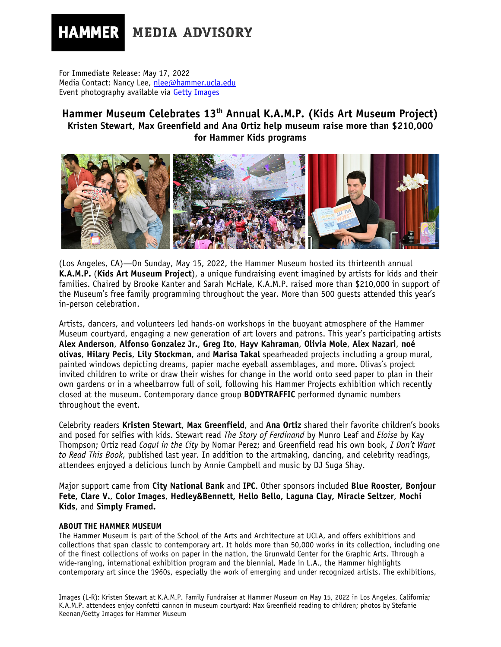## **HAMMER MEDIA ADVISORY**

For Immediate Release: May 17, 2022 Media Contact: Nancy Lee, nlee@hammer.ucla.edu Event photography available via [Getty Images](https://dam.gettyimages.com/assignments/k-a-m-p-family-fundraiser-at-the-hammer-museum)

## **Hammer Museum Celebrates 13th Annual K.A.M.P. (Kids Art Museum Project) Kristen Stewart, Max Greenfield and Ana Ortiz help museum raise more than \$210,000 for Hammer Kids programs**



(Los Angeles, CA)—On Sunday, May 15, 2022, the Hammer Museum hosted its thirteenth annual **K.A.M.P.** (**Kids Art Museum Project**), a unique fundraising event imagined by artists for kids and their families. Chaired by Brooke Kanter and Sarah McHale, K.A.M.P. raised more than \$210,000 in support of the Museum's free family programming throughout the year. More than 500 guests attended this year's in-person celebration.

Artists, dancers, and volunteers led hands-on workshops in the buoyant atmosphere of the Hammer Museum courtyard, engaging a new generation of art lovers and patrons. This year's participating artists **Alex Anderson**, **Alfonso Gonzalez Jr.**, **Greg Ito**, **Hayv Kahraman**, **Olivia Mole**, **Alex Nazari**, **noé olivas**, **Hilary Pecis**, **Lily Stockman**, and **Marisa Takal** spearheaded projects including a group mural, painted windows depicting dreams, papier mache eyeball assemblages, and more. Olivas's project invited children to write or draw their wishes for change in the world onto seed paper to plan in their own gardens or in a wheelbarrow full of soil, following his Hammer Projects exhibition which recently closed at the museum. Contemporary dance group **BODYTRAFFIC** performed dynamic numbers throughout the event.

Celebrity readers **Kristen Stewart**, **Max Greenfield**, and **Ana Ortiz** shared their favorite children's books and posed for selfies with kids. Stewart read *The Story of Ferdinand* by Munro Leaf and *Eloise* by Kay Thompson; Ortiz read *Coquí in the City* by Nomar Perez; and Greenfield read his own book, *I Don't Want to Read This Book*, published last year*.* In addition to the artmaking, dancing, and celebrity readings, attendees enjoyed a delicious lunch by Annie Campbell and music by DJ Suga Shay.

Major support came from **City National Bank** and **IPC**. Other sponsors included **Blue Rooster, Bonjour Fete, Clare V.**, **Color Images**, **Hedley&Bennett, Hello Bello, Laguna Clay, Miracle Seltzer**, **Mochi Kids**, and **Simply Framed.** 

## **ABOUT THE HAMMER MUSEUM**

The Hammer Museum is part of the School of the Arts and Architecture at UCLA, and offers exhibitions and collections that span classic to contemporary art. It holds more than 50,000 works in its collection, including one of the finest collections of works on paper in the nation, the Grunwald Center for the Graphic Arts. Through a wide-ranging, international exhibition program and the biennial, Made in L.A., the Hammer highlights contemporary art since the 1960s, especially the work of emerging and under recognized artists. The exhibitions,

Images (L-R): Kristen Stewart at K.A.M.P. Family Fundraiser at Hammer Museum on May 15, 2022 in Los Angeles, California; K.A.M.P. attendees enjoy confetti cannon in museum courtyard; Max Greenfield reading to children; photos by Stefanie Keenan/Getty Images for Hammer Museum